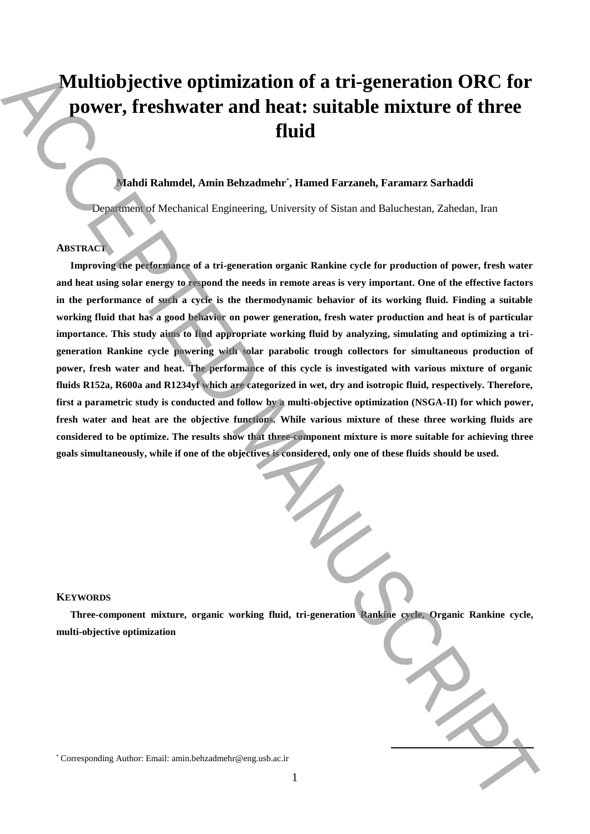# **Multiobjective optimization of a tri-generation ORC for power, freshwater and heat: suitable mixture of three fluid**

# **Mahdi Rahmdel, Amin Behzadmehr**\* **, Hamed Farzaneh, Faramarz Sarhaddi**

Department of Mechanical Engineering, University of Sistan and Baluchestan, Zahedan, Iran

# **ABSTRACT**

**Improving the performance of a tri-generation organic Rankine cycle for production of power, fresh water and heat using solar energy to respond the needs in remote areas is very important. One of the effective factors in the performance of such a cycle is the thermodynamic behavior of its working fluid. Finding a suitable working fluid that has a good behavior on power generation, fresh water production and heat is of particular importance. This study aims to find appropriate working fluid by analyzing, simulating and optimizing a trigeneration Rankine cycle powering with solar parabolic trough collectors for simultaneous production of power, fresh water and heat. The performance of this cycle is investigated with various mixture of organic fluids R152a, R600a and R1234yf which are categorized in wet, dry and isotropic fluid, respectively. Therefore, first a parametric study is conducted and follow by a multi-objective optimization (NSGA-II) for which power, fresh water and heat are the objective functions. While various mixture of these three working fluids are considered to be optimize. The results show that three-component mixture is more suitable for achieving three goals simultaneously, while if one of the objectives is considered, only one of these fluids should be used. Multiobjective optimization of a tri-generation ORC for**<br> **Downer, freeshwater and heat:** suitable mixture of three<br>
fluid<br>
than it has the corresponding Authorities of the corresponding Authorities of the corresponding

#### **KEYWORDS**

**Three-component mixture, organic working fluid, tri-generation Rankine cycle, Organic Rankine cycle, multi-objective optimization**

**.**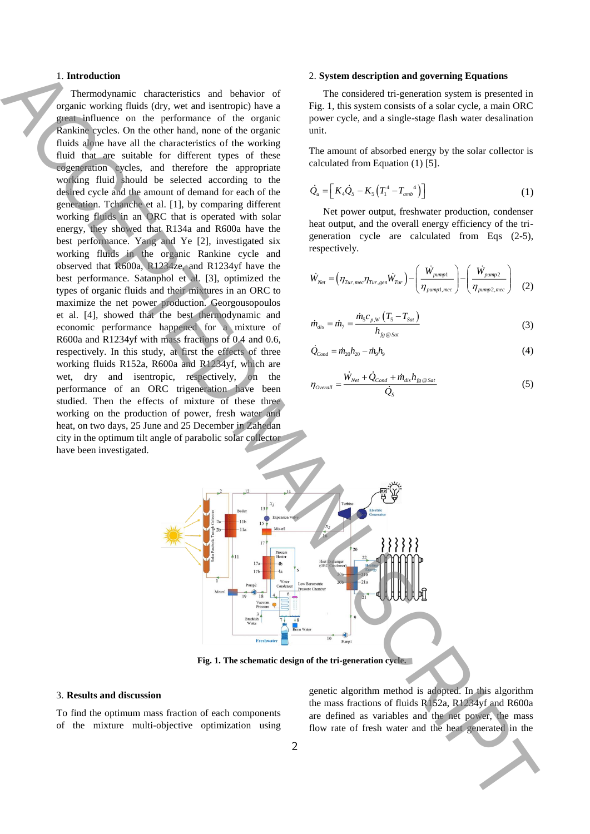## 1. **Introduction**

Thermodynamic characteristics and behavior of organic working fluids (dry, wet and isentropic) have a great influence on the performance of the organic Rankine cycles. On the other hand, none of the organic fluids alone have all the characteristics of the working fluid that are suitable for different types of these cogeneration cycles, and therefore the appropriate working fluid should be selected according to the desired cycle and the amount of demand for each of the generation. Tchanche et al. [1], by comparing different working fluids in an ORC that is operated with solar energy, they showed that R134a and R600a have the best performance. Yang and Ye [2], investigated six working fluids in the organic Rankine cycle and observed that R600a, R1234ze, and R1234yf have the best performance. Satanphol et al. [3], optimized the types of organic fluids and their mixtures in an ORC to maximize the net power production. Georgousopoulos et al. [4], showed that the best thermodynamic and economic performance happened for a mixture of R600a and R1234yf with mass fractions of 0.4 and 0.6, respectively. In this study, at first the effects of three working fluids R152a, R600a and R1234yf, which are wet, dry and isentropic, respectively, on the performance of an ORC trigeneration have been studied. Then the effects of mixture of these three working on the production of power, fresh water and heat, on two days, 25 June and 25 December in Zahedan city in the optimum tilt angle of parabolic solar collector have been investigated. Flow rate of the main of the main of the main interaction of the Library control and points of the main interaction of the Library control and the main interaction of the main interaction of the main interaction of the ma

## 2. **System description and governing Equations**

The considered tri-generation system is presented in Fig. 1, this system consists of a solar cycle, a main ORC power cycle, and a single-stage flash water desalination unit.

The amount of absorbed energy by the solar collector is calculated from Equation (1) [5].

$$
\dot{Q}_u = \left[ K_4 \dot{Q}_s - K_5 \left( T_1^4 - T_{amb}^4 \right) \right] \tag{1}
$$

Net power output, freshwater production, condenser heat output, and the overall energy efficiency of the trigeneration cycle are calculated from Eqs (2-5), respectively.

$$
\dot{W}_{Net} = \left(\eta_{Tur, mec}\eta_{Tur, gen}\dot{W}_{Tur}\right) - \left(\frac{\dot{W}_{pump1}}{\eta_{pump1, mec}}\right) - \left(\frac{\dot{W}_{pump2}}{\eta_{pump2, mec}}\right)
$$
(2)

$$
\dot{m}_{dis} = \dot{m}_{7} = \frac{\dot{m}_{5}c_{p,W}\left(T_{5} - T_{Sat}\right)}{h_{fg \otimes Sat}}
$$
\n(3)

$$
\dot{Q}_{Cond} = \dot{m}_{20} h_{20} - \dot{m}_9 h_9 \tag{4}
$$

$$
\eta_{\text{Overall}} = \frac{\dot{W}_{\text{Net}} + \dot{Q}_{\text{Cond}} + \dot{m}_{\text{dis}} h_{\text{fg} \text{ ⊗}_{\text{Sat}}}}{\dot{Q}_{\text{S}}} \tag{5}
$$



**Fig. 1. The schematic design of the tri-generation cycle.**

## 3. **Results and discussion**

To find the optimum mass fraction of each components of the mixture multi-objective optimization using

genetic algorithm method is adopted. In this algorithm the mass fractions of fluids R152a, R1234yf and R600a are defined as variables and the net power, the mass